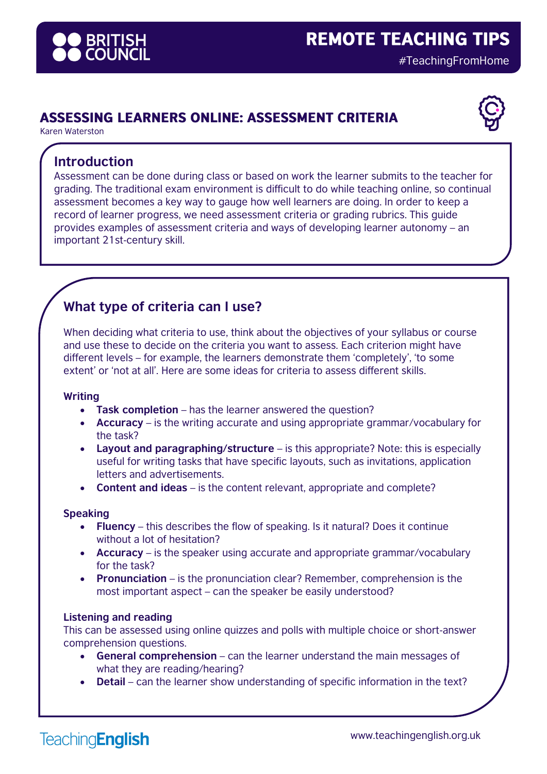

## **ASSESSING LEARNERS ONLINE: ASSESSMENT CRITERIA**

Karen Waterston

### **Introduction**

Assessment can be done during class or based on work the learner submits to the teacher for grading. The traditional exam environment is difficult to do while teaching online, so continual assessment becomes a key way to gauge how well learners are doing. In order to keep a record of learner progress, we need assessment criteria or grading rubrics. This guide provides examples of assessment criteria and ways of developing learner autonomy – an important 21st-century skill.

# **What type of criteria can I use?**

When deciding what criteria to use, think about the objectives of your syllabus or course and use these to decide on the criteria you want to assess. Each criterion might have different levels – for example, the learners demonstrate them 'completely', 'to some extent' or 'not at all'. Here are some ideas for criteria to assess different skills.

#### **Writing**

- **Task completion** has the learner answered the question?
- **Accuracy** is the writing accurate and using appropriate grammar/vocabulary for the task?
- **Layout and paragraphing/structure** is this appropriate? Note: this is especially useful for writing tasks that have specific layouts, such as invitations, application letters and advertisements.
- **Content and ideas** is the content relevant, appropriate and complete?

#### **Speaking**

- **Fluency** this describes the flow of speaking. Is it natural? Does it continue without a lot of hesitation?
- **Accuracy** is the speaker using accurate and appropriate grammar/vocabulary for the task?
- **Pronunciation** is the pronunciation clear? Remember, comprehension is the most important aspect – can the speaker be easily understood?

#### **Listening and reading**

This can be assessed using online quizzes and polls with multiple choice or short-answer comprehension questions.

- **General comprehension** can the learner understand the main messages of what they are reading/hearing?
- **Detail** can the learner show understanding of specific information in the text?

**TeachingEnglish**